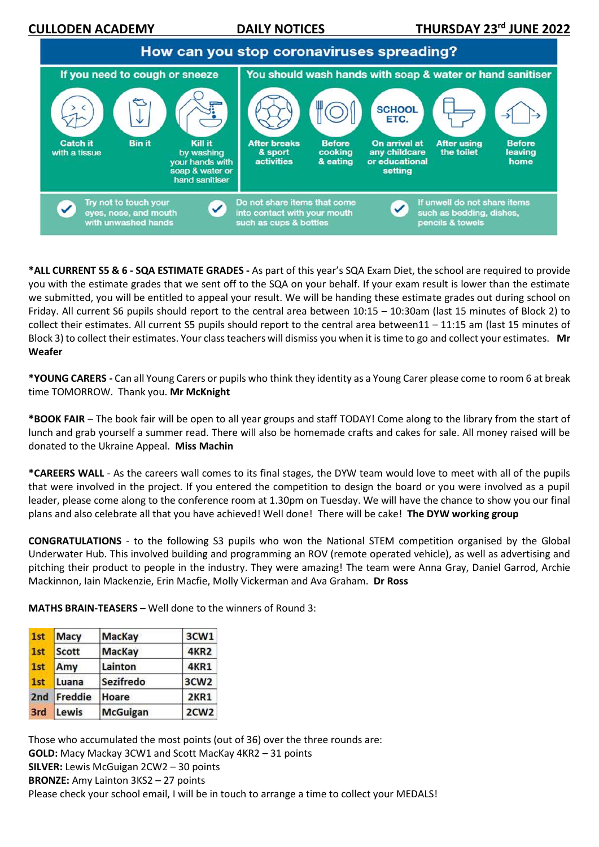**CULLODEN ACADEMY DAILY NOTICES** 



**\*ALL CURRENT S5 & 6 - SQA ESTIMATE GRADES -** As part of this year's SQA Exam Diet, the school are required to provide you with the estimate grades that we sent off to the SQA on your behalf. If your exam result is lower than the estimate we submitted, you will be entitled to appeal your result. We will be handing these estimate grades out during school on Friday. All current S6 pupils should report to the central area between 10:15 – 10:30am (last 15 minutes of Block 2) to collect their estimates. All current S5 pupils should report to the central area between11 – 11:15 am (last 15 minutes of Block 3) to collect their estimates. Your class teachers will dismiss you when it is time to go and collect your estimates. **Mr Weafer**

**\*YOUNG CARERS -** Can all Young Carers or pupils who think they identity as a Young Carer please come to room 6 at break time TOMORROW. Thank you. **Mr McKnight**

**\*BOOK FAIR** – The book fair will be open to all year groups and staff TODAY! Come along to the library from the start of lunch and grab yourself a summer read. There will also be homemade crafts and cakes for sale. All money raised will be donated to the Ukraine Appeal. **Miss Machin**

**\*CAREERS WALL** - As the careers wall comes to its final stages, the DYW team would love to meet with all of the pupils that were involved in the project. If you entered the competition to design the board or you were involved as a pupil leader, please come along to the conference room at 1.30pm on Tuesday. We will have the chance to show you our final plans and also celebrate all that you have achieved! Well done! There will be cake! **The DYW working group**

**CONGRATULATIONS** - to the following S3 pupils who won the National STEM competition organised by the Global Underwater Hub. This involved building and programming an ROV (remote operated vehicle), as well as advertising and pitching their product to people in the industry. They were amazing! The team were Anna Gray, Daniel Garrod, Archie Mackinnon, Iain Mackenzie, Erin Macfie, Molly Vickerman and Ava Graham. **Dr Ross**

**MATHS BRAIN-TEASERS** – Well done to the winners of Round 3:

| 1st             | <b>Macy</b>  | <b>MacKay</b>   | 3CW1             |
|-----------------|--------------|-----------------|------------------|
| 1st             | <b>Scott</b> | <b>MacKay</b>   | <b>4KR2</b>      |
| 1st             | Amy          | Lainton         | 4KR1             |
| 1st             | Luana        | Sezifredo       | 3CW <sub>2</sub> |
| 2 <sub>nd</sub> | Freddie      | Hoare           | <b>2KR1</b>      |
| 3rd             | Lewis        | <b>McGuigan</b> | 2CW <sub>2</sub> |

Those who accumulated the most points (out of 36) over the three rounds are: **GOLD:** Macy Mackay 3CW1 and Scott MacKay 4KR2 – 31 points **SILVER:** Lewis McGuigan 2CW2 – 30 points **BRONZE:** Amy Lainton 3KS2 – 27 points Please check your school email, I will be in touch to arrange a time to collect your MEDALS!